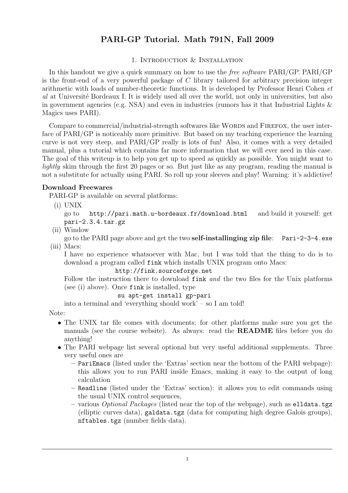# PARI-GP Tutorial. Math 791N, Fall 2009

# 1. Introduction & Installation

In this handout we give a quick summary on how to use the *free software* PARI/GP. PARI/GP is the front-end of a very powerful package of  $C$  library tailored for arbitrary precision integer arithmetic with loads of number-theoretic functions. It is developed by Professor Henri Cohen et al at Université Bordeaux I. It is widely used all over the world, not only in universities, but also in government agencies (e.g. NSA) and even in industries (rumors has it that Industrial Lights  $\&$ Magics uses PARI).

Compare to commercial/industrial-strength softwares like WORDS and FIREFOX, the user interface of PARI/GP is noticeably more primitive. But based on my teaching experience the learning curve is not very steep, and PARI/GP really is lots of fun! Also, it comes with a very detailed manual, plus a tutorial which contains far more information that we will ever need in this case. The goal of this writeup is to help you get up to speed as quickly as possible. You might want to lightly skim through the first 20 pages or so. But just like as any program, reading the manual is not a substitute for actually using PARI. So roll up your sleeves and play! Warning: it's addictive!

# Download Freewares

PARI-GP is available on several platforms:

(i) UNIX

go to http://pari.math.u-bordeaux.fr/download.html and build it yourself: get pari-2.3.4.tar.gz

(ii) Window

go to the PARI page above and get the two self-installinging zip file: Pari-2-3-4.exe (iii) Macs:

I have no experience whatsoever with Mac, but I was told that the thing to do is to download a program called fink which installs UNIX program onto Macs:

http://fink.sourceforge.net

Follow the instruction there to download fink and the two files for the Unix platforms (see (i) above). Once fink is installed, type

## su apt-get install gp-pari

into a terminal and 'everything should work' – so I am told!

Note:

- The UNIX tar file comes with documents; for other platforms make sure you get the manuals (see the course website). As always: read the README files before you do anything!
- The PARI webpage list several optional but very useful additional supplements. Three very useful ones are
	- PariEmacs (listed under the 'Extras' section near the bottom of the PARI webpage): this allows you to run PARI inside Emacs, making it easy to the output of long calculation
	- Readline (listed under the 'Extras' section): it allows you to edit commands using the usual UNIX control sequences,
	- various *Optional Packages* (listed near the top of the webpage), such as elldata.tgz (elliptic curves data), galdata.tgz (data for computing high degree Galois groups), nftables.tgz (number fields data).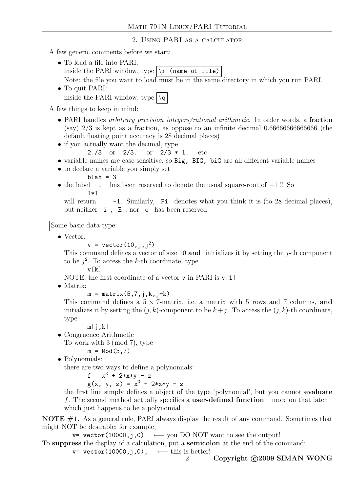2. Using PARI as a calculator

A few generic comments before we start:

- To load a file into PARI: inside the PARI window, type  $\vert \$ r (name of file)
- Note: the file you want to load must be in the same directory in which you run PARI. • To quit PARI:

inside the PARI window, type  $\log$ 

A few things to keep in mind:

- PARI handles *arbitrary precision integers/rational arithmetic*. In order words, a fraction (say) 2/3 is kept as a fraction, as oppose to an infinite decimal 0.66666666666666 (the default floating point accuracy is 28 decimal places)
- if you actually want the decimal, type
	- 2./3 or 2/3. or 2/3 \* 1. etc
- variable names are case sensitive, so Big, BIG, biG are all different variable names
- to declare a variable you simply set
	- $b$ lah = 3
- the label I has been reserved to denote the usual square-root of −1!! So  $T*T$

will return  $-1$ . Similarly, Pi denotes what you think it is (to 28 decimal places), but neither i , E , nor e has been reserved.

Some basic data-type:

• Vector:

 $v = vector(10, j, j^2)$ 

This command defines a vector of size 10 and initializes it by setting the  $i$ -th component to be  $j^2$ . To access the k-th coordinate, type

v[k]

- NOTE: the first coordinate of a vector v in PARI is  $v[1]$
- Matrix:

 $m = matrix(5,7,j,k,j+k)$ 

This command defines a  $5 \times 7$ -matrix, i.e. a matrix with 5 rows and 7 columns, and initializes it by setting the  $(j, k)$ -component to be  $k + j$ . To access the  $(j, k)$ -th coordinate, type

 $m[i,k]$ 

• Congruence Arithmetic

To work with 3 (mod 7), type

 $m = Mod(3,7)$ 

• Polynomials:

there are two ways to define a polynomials:

 $f = x^3 + 2*x*y - z$ 

 $g(x, y, z) = x^{3} + 2*x*y - z$ 

the first line simply defines a object of the type 'polynomial', but you cannot evaluate f. The second method actually specifies a **user-defined function** – more on that later – which just happens to be a polynomial

NOTE #1. As a general rule, PARI always display the result of any command. Sometimes that might NOT be desirable; for example,

 $v=$  vector(10000, j,0) ← you DO NOT want to see the output!

To suppress the display of a calculation, put a semicolon at the end of the command:

v= vector(10000,j,0); ← this is better!

2 Copyright C<sub>2009</sub> SIMAN WONG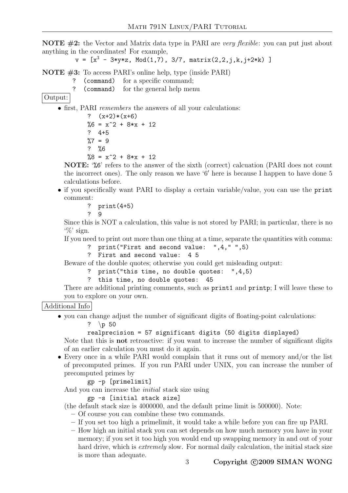**NOTE**  $\#2$ : the Vector and Matrix data type in PARI are very flexible: you can put just about anything in the coordinates! For example,

 $v = [x^3 - 3*y*z, Mod(1,7), 3/7, matrix(2,2,j,k,j+2*k)]$ 

NOTE #3: To access PARI's online help, type (inside PARI)

- ? (command) for a specific command;
- ? (command) for the general help menu

Output:

• first, PARI remembers the answers of all your calculations:

?  $(x+2)*(x+6)$  $%6 = x^2 + 8*x + 12$ ? 4+5  $\frac{9}{6}$ 7 = 9 ? %6  $%8 = x^2 + 8*x + 12$ 

NOTE: '%6' refers to the answer of the sixth (correct) calcuation (PARI does not count the incorrect ones). The only reason we have '6' here is because I happen to have done  $5$ calculations before.

• if you specifically want PARI to display a certain variable/value, you can use the print comment:

? print(4+5)

? 9

Since this is NOT a calculation, this value is not stored by PARI; in particular, there is no  $\mathcal{C}$  sign.

If you need to print out more than one thing at a time, separate the quantities with comma:

- ? print("First and second value: ",4," ",5)
- ? First and second value: 4 5

Beware of the double quotes; otherwise you could get misleading output:

- ? print("this time, no double quotes: ",4,5)
- ? this time, no double quotes: 45

There are additional printing comments, such as print1 and printp; I will leave these to you to explore on your own.

Additional Info

• you can change adjust the number of significant digits of floating-point calculations:

?  $\pmb{\wedge} p$  50

```
realprecision = 57 significant digits (50 digits displayed)
```
Note that this is not retroactive: if you want to increase the number of significant digits of an earlier calculation you must do it again.

• Every once in a while PARI would complain that it runs out of memory and/or the list of precomputed primes. If you run PARI under UNIX, you can increase the number of precomputed primes by

gp -p [primelimit]

And you can increase the initial stack size using

gp -s [initial stack size]

(the default stack size is 4000000, and the default prime limit is 500000). Note:

- Of course you can combine these two commands.
- If you set too high a primelimit, it would take a while before you can fire up PARI.
- How high an initial stack you can set depends on how much memory you have in your memory; if you set it too high you would end up swapping memory in and out of your hard drive, which is *extremely* slow. For normal daily calculation, the initial stack size is more than adequate.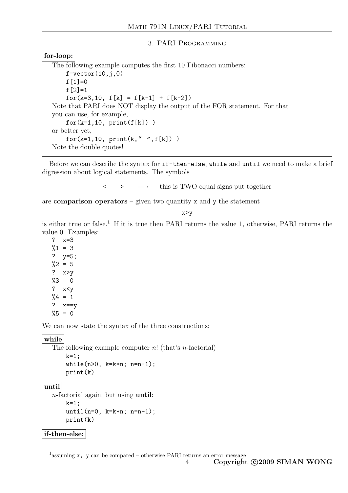## 3. PARI Programming

# for-loop:

The following example computes the first 10 Fibonacci numbers:  $f=vector(10,j,0)$ f $[1]=0$  $f[2]=1$ for(k=3,10,  $f[k] = f[k-1] + f[k-2]$ ) Note that PARI does NOT display the output of the FOR statement. For that you can use, for example,  $for(k=1,10, print(f[k]))$ or better yet,  $for(k=1,10, print(k, " " , f[k]) )$ Note the double quotes!

Before we can describe the syntax for if-then-else, while and until we need to make a brief digression about logical statements. The symbols

 $\leftarrow$  > ==  $\leftarrow$  this is TWO equal signs put together

are **comparison operators** – given two quantity  $x$  and  $y$  the statement

x>y

is either true or false.<sup>1</sup> If it is true then PARI returns the value 1, otherwise, PARI returns the value 0. Examples:

? x=3  $%1 = 3$ ? y=5;  $\frac{9}{2} = 5$ ? x>y  $\frac{9}{3} = 0$ ? x<y  $\frac{9}{4} = 1$ ? x==y  $%5 = 0$ 

We can now state the syntax of the three constructions:

## | while |

```
The following example computer n! (that's n-factorial)
    k=1:
    while (n > 0, k=k*n; n=n-1);print(k)
```
## until

```
n-factorial again, but using until:
    k=1:
    until(n=0, k=k*n; n=n-1);
    print(k)
```
## if-then-else:

<sup>1</sup> assuming **x**, **y** can be compared – otherwise PARI returns an error message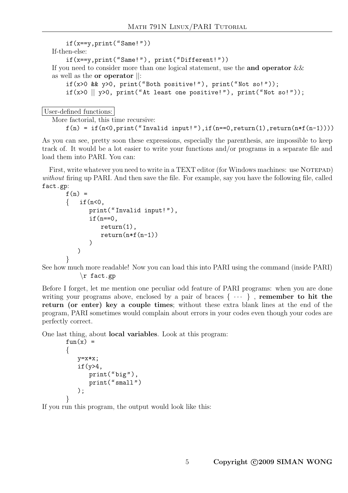```
if(x == y, print("Same!"))If-then-else:
    if(x==y,print("Same!"), print("Different!"))
If you need to consider more than one logical statement, use the and operator \&&as well as the or operator ||:
    if(x>0 && y>0, print("Both positive!"), print("Not so!"));
    if(x>0 \parallel y>0, print("At least one positive!"), print("Not so!"));
```
User-defined functions:

```
More factorial, this time recursive:
    f(n) = if(n<0, print("Invalid input!"), if(n == 0, return(1), return(n*f(n-1))))
```
As you can see, pretty soon these expressions, especially the parenthesis, are impossible to keep track of. It would be a lot easier to write your functions and/or programs in a separate file and load them into PARI. You can:

First, write whatever you need to write in a TEXT editor (for Windows machines: use NOTEPAD) without firing up PARI. And then save the file. For example, say you have the following file, called fact.gp:

```
f(n) =
\{ if(n<0.
       print("Invalid input!"),
       if(n==0,return(1),
          return(n*f(n-1))\lambda)
}
```
See how much more readable! Now you can load this into PARI using the command (inside PARI) \r fact.gp

Before I forget, let me mention one peculiar odd feature of PARI programs: when you are done writing your programs above, enclosed by a pair of braces  $\{\cdots\}$ , remember to hit the return (or enter) key a couple times; without these extra blank lines at the end of the program, PARI sometimes would complain about errors in your codes even though your codes are perfectly correct.

One last thing, about local variables. Look at this program:

```
fun(x) ={
   y=x*x;
   if(y>4,print("big"),
      print("small")
   );
}
```
If you run this program, the output would look like this: